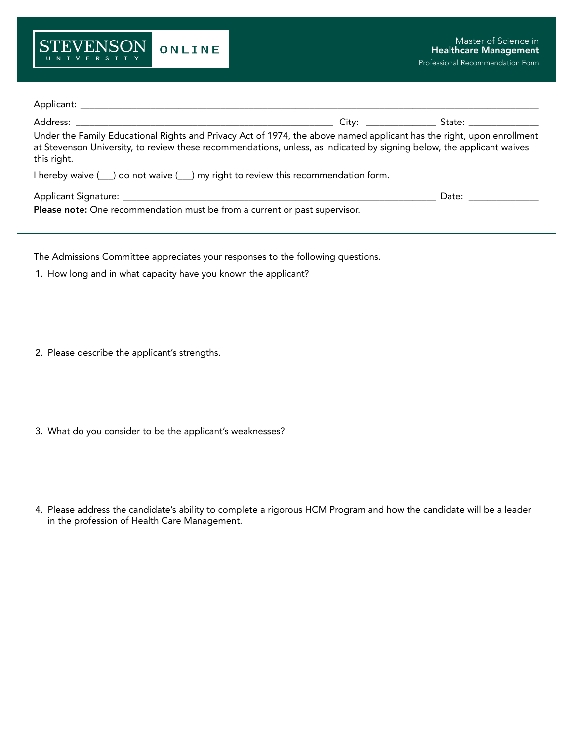

| Under the Family Educational Rights and Privacy Act of 1974, the above named applicant has the right, upon enrollment<br>at Stevenson University, to review these recommendations, unless, as indicated by signing below, the applicant waives<br>this right. |                                                                                                                                                                                                                                |
|---------------------------------------------------------------------------------------------------------------------------------------------------------------------------------------------------------------------------------------------------------------|--------------------------------------------------------------------------------------------------------------------------------------------------------------------------------------------------------------------------------|
|                                                                                                                                                                                                                                                               |                                                                                                                                                                                                                                |
|                                                                                                                                                                                                                                                               | Date: the contract of the contract of the contract of the contract of the contract of the contract of the contract of the contract of the contract of the contract of the contract of the contract of the contract of the cont |
| Please note: One recommendation must be from a current or past supervisor.                                                                                                                                                                                    |                                                                                                                                                                                                                                |

The Admissions Committee appreciates your responses to the following questions.

- 1. How long and in what capacity have you known the applicant?
- 2. Please describe the applicant's strengths.
- 3. What do you consider to be the applicant's weaknesses?
- 4. Please address the candidate's ability to complete a rigorous HCM Program and how the candidate will be a leader in the profession of Health Care Management.